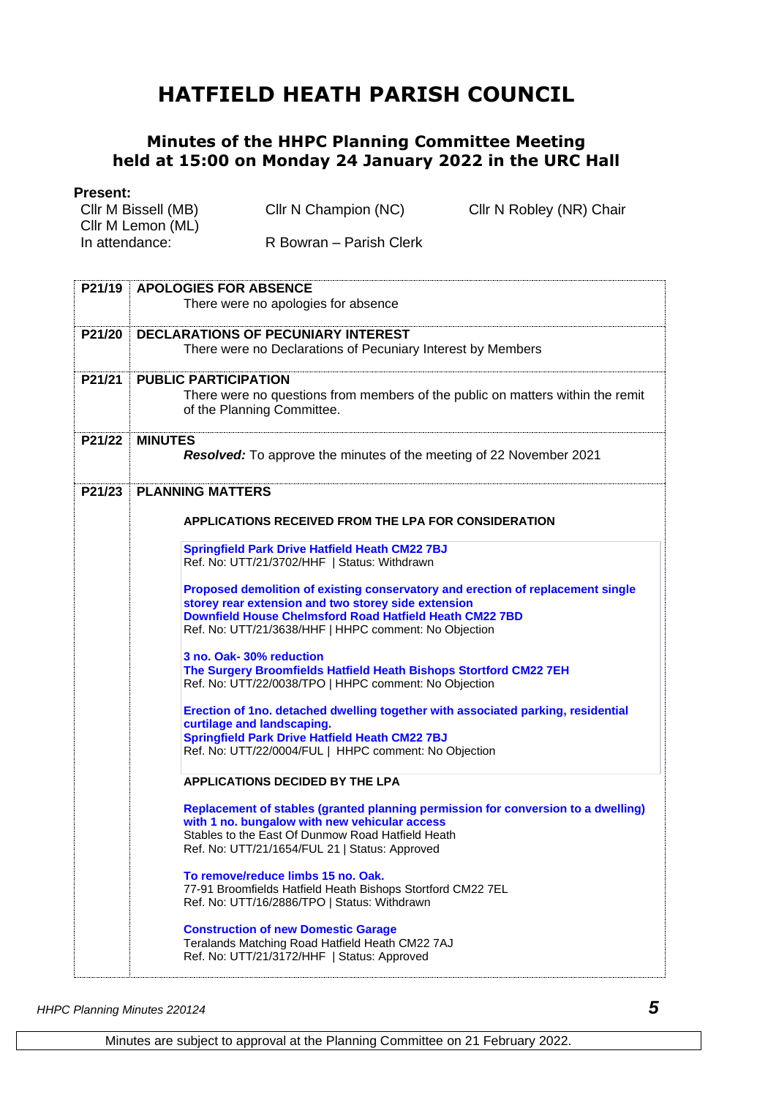## **HATFIELD HEATH PARISH COUNCIL**

## **Minutes of the HHPC Planning Committee Meeting held at 15:00 on Monday 24 January 2022 in the URC Hall**

## **Present:**

| FICSCIIL.           |                         |                          |
|---------------------|-------------------------|--------------------------|
| Cllr M Bissell (MB) | Cllr N Champion (NC)    | Cllr N Robley (NR) Chair |
| Cllr M Lemon (ML)   |                         |                          |
| In attendance:      | R Bowran – Parish Clerk |                          |
|                     |                         |                          |

| P21/19 | <b>APOLOGIES FOR ABSENCE</b>                                                      |  |
|--------|-----------------------------------------------------------------------------------|--|
|        | There were no apologies for absence                                               |  |
|        |                                                                                   |  |
| P21/20 | <b>DECLARATIONS OF PECUNIARY INTEREST</b>                                         |  |
|        | There were no Declarations of Pecuniary Interest by Members                       |  |
| P21/21 | <b>PUBLIC PARTICIPATION</b>                                                       |  |
|        | There were no questions from members of the public on matters within the remit    |  |
|        | of the Planning Committee.                                                        |  |
|        |                                                                                   |  |
| P21/22 | <b>MINUTES</b>                                                                    |  |
|        | Resolved: To approve the minutes of the meeting of 22 November 2021               |  |
|        |                                                                                   |  |
| P21/23 | <b>PLANNING MATTERS</b>                                                           |  |
|        | APPLICATIONS RECEIVED FROM THE LPA FOR CONSIDERATION                              |  |
|        |                                                                                   |  |
|        | <b>Springfield Park Drive Hatfield Heath CM22 7BJ</b>                             |  |
|        | Ref. No: UTT/21/3702/HHF   Status: Withdrawn                                      |  |
|        | Proposed demolition of existing conservatory and erection of replacement single   |  |
|        | storey rear extension and two storey side extension                               |  |
|        | <b>Downfield House Chelmsford Road Hatfield Heath CM22 7BD</b>                    |  |
|        | Ref. No: UTT/21/3638/HHF   HHPC comment: No Objection                             |  |
|        | 3 no. Oak-30% reduction                                                           |  |
|        | The Surgery Broomfields Hatfield Heath Bishops Stortford CM22 7EH                 |  |
|        | Ref. No: UTT/22/0038/TPO   HHPC comment: No Objection                             |  |
|        | Erection of 1no. detached dwelling together with associated parking, residential  |  |
|        | curtilage and landscaping.                                                        |  |
|        | <b>Springfield Park Drive Hatfield Heath CM22 7BJ</b>                             |  |
|        | Ref. No: UTT/22/0004/FUL   HHPC comment: No Objection                             |  |
|        |                                                                                   |  |
|        | <b>APPLICATIONS DECIDED BY THE LPA</b>                                            |  |
|        | Replacement of stables (granted planning permission for conversion to a dwelling) |  |
|        | with 1 no. bungalow with new vehicular access                                     |  |
|        | Stables to the East Of Dunmow Road Hatfield Heath                                 |  |
|        | Ref. No: UTT/21/1654/FUL 21   Status: Approved                                    |  |
|        | To remove/reduce limbs 15 no. Oak.                                                |  |
|        | 77-91 Broomfields Hatfield Heath Bishops Stortford CM22 7EL                       |  |
|        | Ref. No: UTT/16/2886/TPO   Status: Withdrawn                                      |  |
|        | <b>Construction of new Domestic Garage</b>                                        |  |
|        | Teralands Matching Road Hatfield Heath CM22 7AJ                                   |  |
|        | Ref. No: UTT/21/3172/HHF   Status: Approved                                       |  |
|        |                                                                                   |  |

*HHPC Planning Minutes 220124 5*

Minutes are subject to approval at the Planning Committee on 21 February 2022.